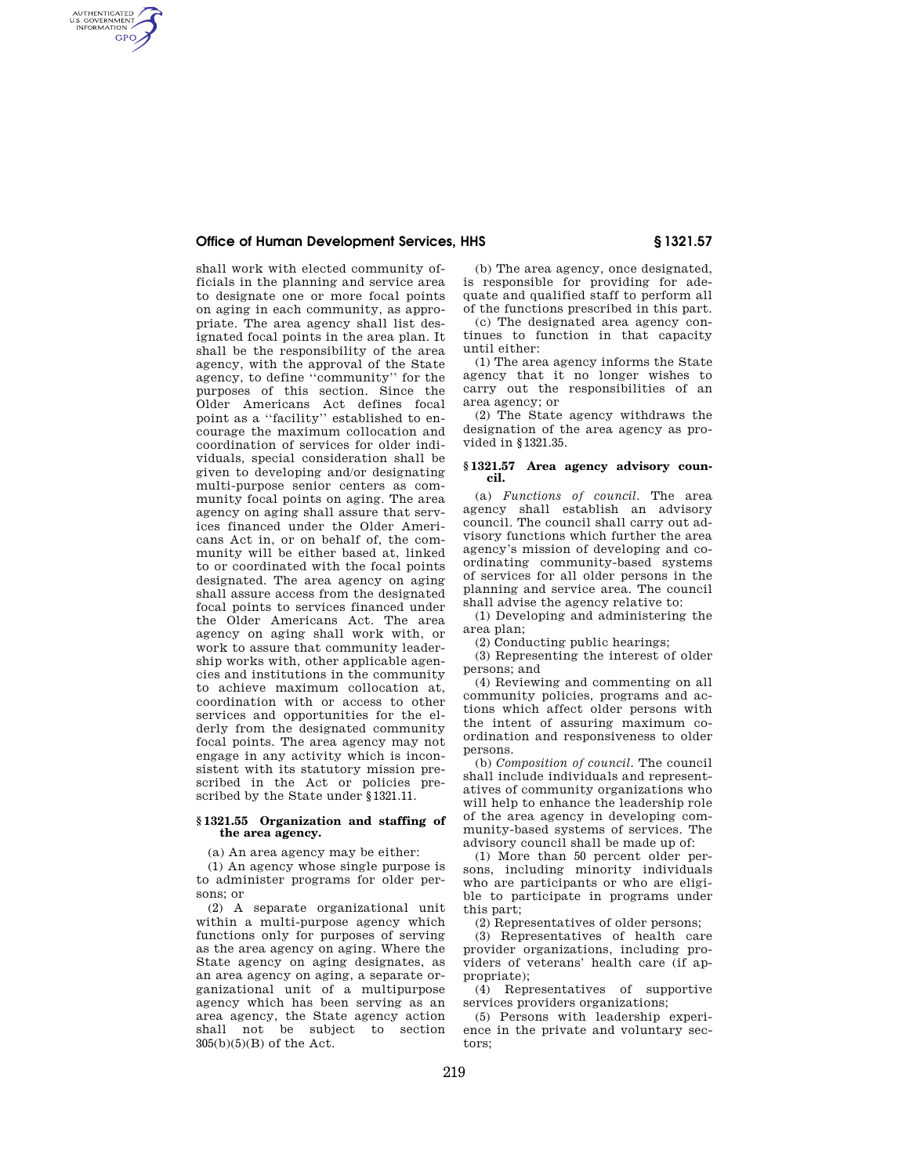# **Office of Human Development Services, HHS § 1321.57**

AUTHENTICATED<br>U.S. GOVERNMENT<br>INFORMATION **GPO** 

shall work with elected community officials in the planning and service area to designate one or more focal points on aging in each community, as appropriate. The area agency shall list designated focal points in the area plan. It shall be the responsibility of the area agency, with the approval of the State agency, to define ''community'' for the purposes of this section. Since the Older Americans Act defines focal point as a ''facility'' established to encourage the maximum collocation and coordination of services for older individuals, special consideration shall be given to developing and/or designating multi-purpose senior centers as community focal points on aging. The area agency on aging shall assure that services financed under the Older Americans Act in, or on behalf of, the community will be either based at, linked to or coordinated with the focal points designated. The area agency on aging shall assure access from the designated focal points to services financed under the Older Americans Act. The area agency on aging shall work with, or work to assure that community leadership works with, other applicable agencies and institutions in the community to achieve maximum collocation at, coordination with or access to other services and opportunities for the elderly from the designated community focal points. The area agency may not engage in any activity which is inconsistent with its statutory mission prescribed in the Act or policies prescribed by the State under §1321.11.

### **§ 1321.55 Organization and staffing of the area agency.**

(a) An area agency may be either:

(1) An agency whose single purpose is to administer programs for older persons; or

(2) A separate organizational unit within a multi-purpose agency which functions only for purposes of serving as the area agency on aging. Where the State agency on aging designates, as an area agency on aging, a separate organizational unit of a multipurpose agency which has been serving as an area agency, the State agency action shall not be subject to section  $305(b)(5)(B)$  of the Act.

(b) The area agency, once designated, is responsible for providing for adequate and qualified staff to perform all of the functions prescribed in this part.

(c) The designated area agency continues to function in that capacity until either:

(1) The area agency informs the State agency that it no longer wishes to carry out the responsibilities of an area agency; or

(2) The State agency withdraws the designation of the area agency as provided in §1321.35.

#### **§ 1321.57 Area agency advisory council.**

(a) *Functions of council.* The area agency shall establish an advisory council. The council shall carry out advisory functions which further the area agency's mission of developing and coordinating community-based systems of services for all older persons in the planning and service area. The council shall advise the agency relative to:

(1) Developing and administering the area plan;

(2) Conducting public hearings;

(3) Representing the interest of older persons; and

(4) Reviewing and commenting on all community policies, programs and actions which affect older persons with the intent of assuring maximum coordination and responsiveness to older persons.

(b) *Composition of council.* The council shall include individuals and representatives of community organizations who will help to enhance the leadership role of the area agency in developing community-based systems of services. The advisory council shall be made up of:

(1) More than 50 percent older persons, including minority individuals who are participants or who are eligible to participate in programs under this part;

(2) Representatives of older persons;

(3) Representatives of health care provider organizations, including providers of veterans' health care (if appropriate);

(4) Representatives of supportive services providers organizations;

(5) Persons with leadership experience in the private and voluntary sectors;